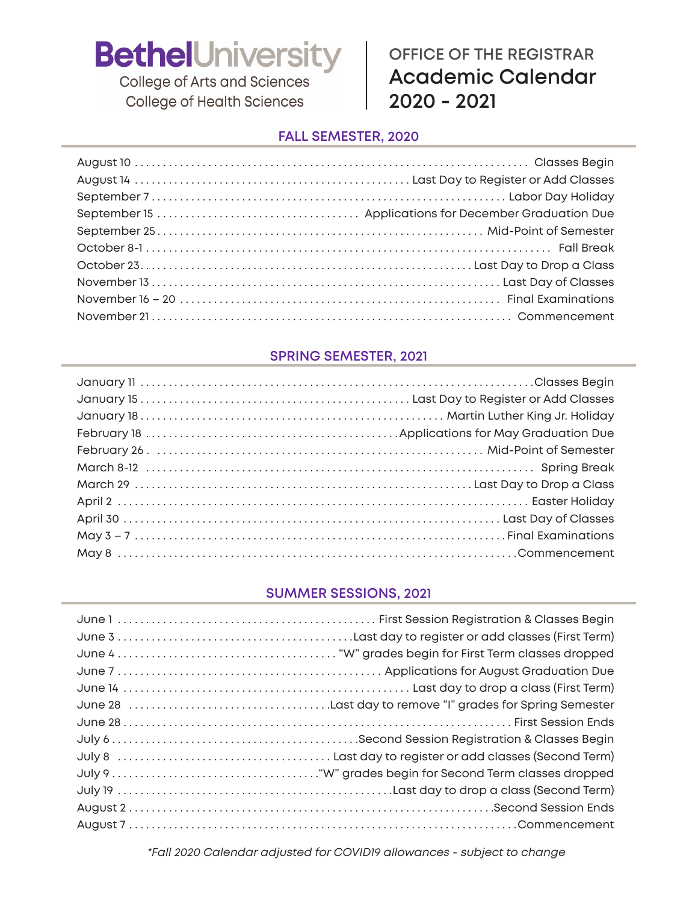**College of Arts and Sciences College of Health Sciences** 

### **OFFICE OF THE REGISTRAR Academic Calendar 2020 - 2021**

#### **FALL SEMESTER, 2020**

#### **SPRING SEMESTER, 2021**

#### **SUMMER SESSIONS, 2021**

*\*Fall 2020 Calendar adjusted for COVID19 allowances - subject to change*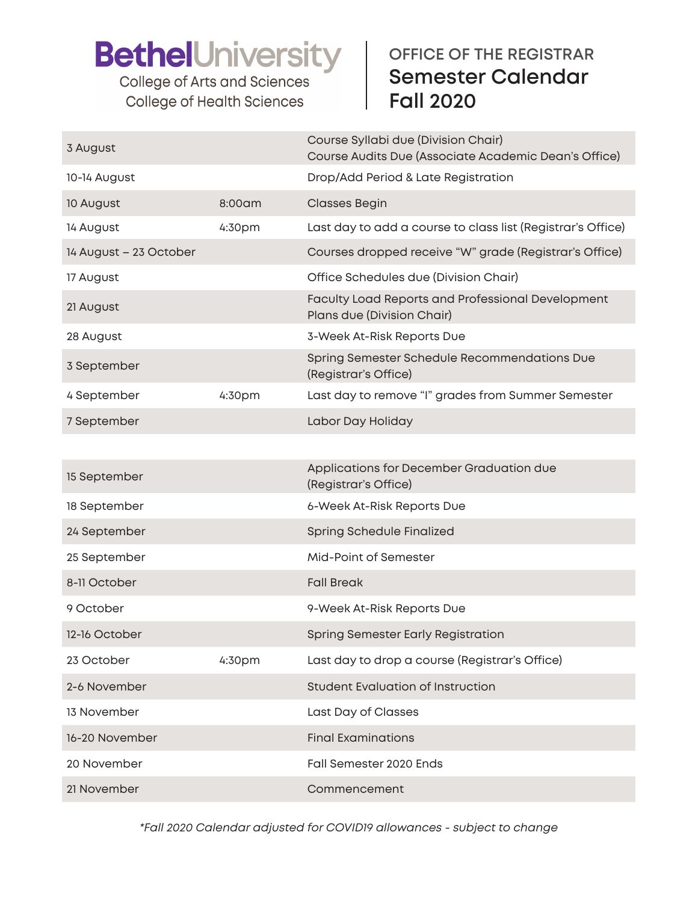**College of Arts and Sciences College of Health Sciences** 

### **OFFICE OF THE REGISTRAR Semester Calendar Fall 2020**

| 3 August               |        | Course Syllabi due (Division Chair)<br>Course Audits Due (Associate Academic Dean's Office) |
|------------------------|--------|---------------------------------------------------------------------------------------------|
| 10-14 August           |        | Drop/Add Period & Late Registration                                                         |
| 10 August              | 8:00am | <b>Classes Begin</b>                                                                        |
| 14 August              | 4:30pm | Last day to add a course to class list (Registrar's Office)                                 |
| 14 August - 23 October |        | Courses dropped receive "W" grade (Registrar's Office)                                      |
| 17 August              |        | Office Schedules due (Division Chair)                                                       |
| 21 August              |        | <b>Faculty Load Reports and Professional Development</b><br>Plans due (Division Chair)      |
| 28 August              |        | 3-Week At-Risk Reports Due                                                                  |
| 3 September            |        | Spring Semester Schedule Recommendations Due<br>(Registrar's Office)                        |
| 4 September            | 4:30pm | Last day to remove "I" grades from Summer Semester                                          |
| 7 September            |        | Labor Day Holiday                                                                           |
|                        |        |                                                                                             |
| 15 September           |        | Applications for December Graduation due<br>(Registrar's Office)                            |
| 18 September           |        | 6-Week At-Risk Reports Due                                                                  |
| 24 September           |        | Spring Schedule Finalized                                                                   |
| 25 September           |        | Mid-Point of Semester                                                                       |
| 8-11 October           |        | <b>Fall Break</b>                                                                           |
| 9 October              |        | 9-Week At-Risk Reports Due                                                                  |
| 12-16 October          |        | <b>Spring Semester Early Registration</b>                                                   |
| 23 October             | 4:30pm | Last day to drop a course (Registrar's Office)                                              |
| 2-6 November           |        | <b>Student Evaluation of Instruction</b>                                                    |
| 13 November            |        | Last Day of Classes                                                                         |
| 16-20 November         |        | <b>Final Examinations</b>                                                                   |
| 20 November            |        | Fall Semester 2020 Ends                                                                     |
| 21 November            |        | Commencement                                                                                |

*\*Fall 2020 Calendar adjusted for COVID19 allowances - subject to change*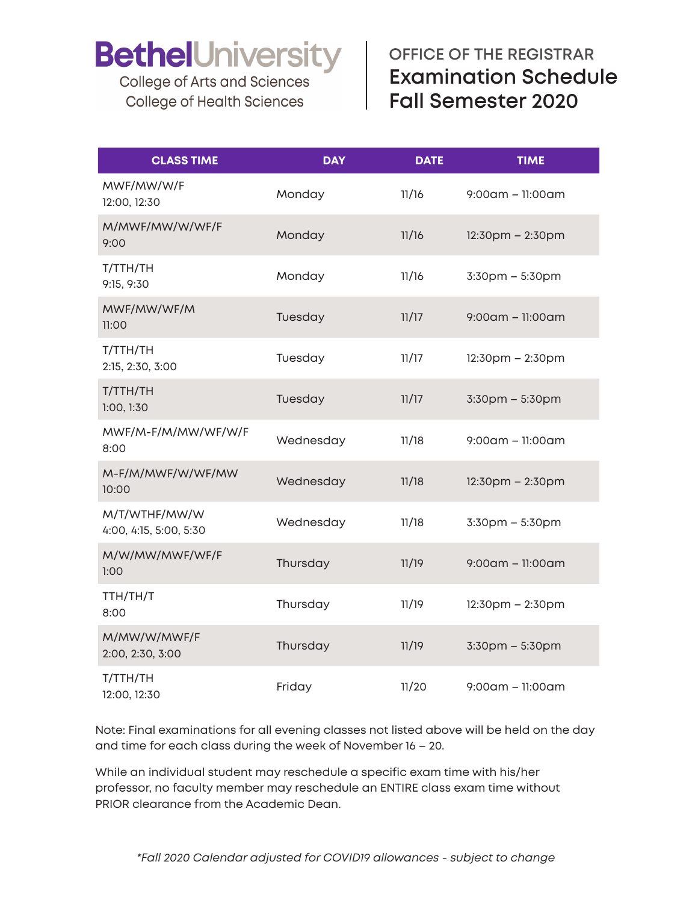College of Arts and Sciences **College of Health Sciences** 

### **OFFICE OF THE REGISTRAR Examination Schedule Fall Semester 2020**

| <b>CLASS TIME</b>                       | <b>DAY</b> | <b>DATE</b> | <b>TIME</b>            |
|-----------------------------------------|------------|-------------|------------------------|
| MWF/MW/W/F<br>12:00, 12:30              | Monday     | 11/16       | $9:00$ am – 11:00am    |
| M/MWF/MW/W/WF/F<br>9:00                 | Monday     | 11/16       | $12:30$ pm – $2:30$ pm |
| T/TTH/TH<br>9:15, 9:30                  | Monday     | 11/16       | $3:30$ pm $-5:30$ pm   |
| MWF/MW/WF/M<br>11:00                    | Tuesday    | 11/17       | $9:00$ am – 11:00am    |
| T/TTH/TH<br>2:15, 2:30, 3:00            | Tuesday    | 11/17       | $12:30$ pm $- 2:30$ pm |
| T/TTH/TH<br>1:00, 1:30                  | Tuesday    | 11/17       | 3:30pm - 5:30pm        |
| MWF/M-F/M/MW/WF/W/F<br>8:00             | Wednesday  | 11/18       | $9:00$ am – 11:00am    |
| M-F/M/MWF/W/WF/MW<br>10:00              | Wednesday  | 11/18       | $12:30$ pm – $2:30$ pm |
| M/T/WTHF/MW/W<br>4:00, 4:15, 5:00, 5:30 | Wednesday  | 11/18       | 3:30pm - 5:30pm        |
| M/W/MW/MWF/WF/F<br>1:00                 | Thursday   | 11/19       | $9:00$ am - 11:00am    |
| TTH/TH/T<br>8:00                        | Thursday   | 11/19       | $12:30$ pm – 2:30pm    |
| M/MW/W/MWF/F<br>2:00, 2:30, 3:00        | Thursday   | 11/19       | 3:30pm - 5:30pm        |
| T/TTH/TH<br>12:00, 12:30                | Friday     | 11/20       | $9:00$ am – 11:00am    |

Note: Final examinations for all evening classes not listed above will be held on the day and time for each class during the week of November 16 – 20.

While an individual student may reschedule a specific exam time with his/her professor, no faculty member may reschedule an ENTIRE class exam time without PRIOR clearance from the Academic Dean.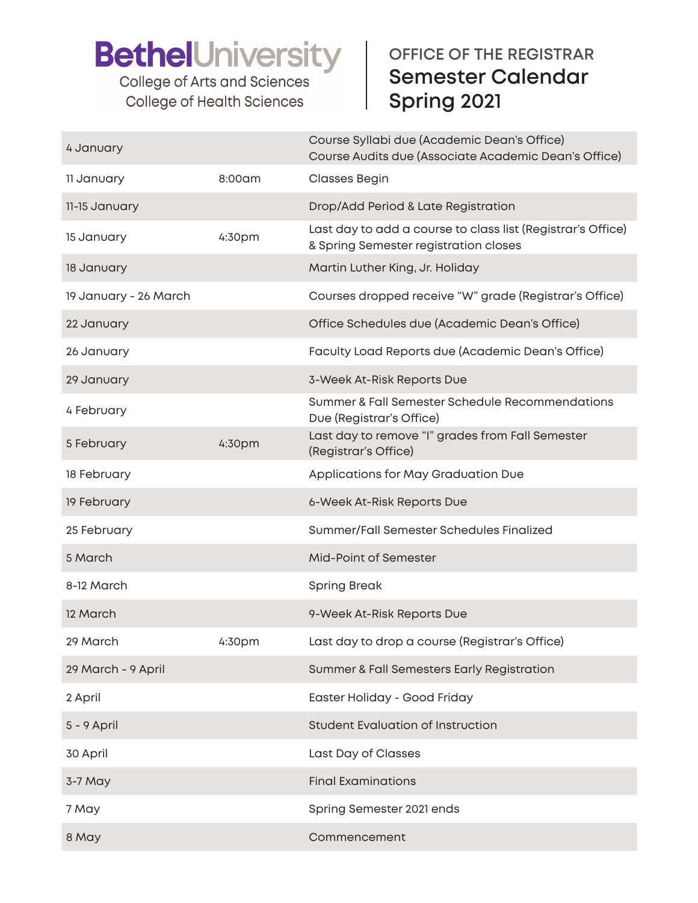College of Arts and Sciences **College of Health Sciences** 

### **OFFICE OF THE REGISTRAR Semester Calendar Spring 2021**

| 4 January             |        | Course Syllabi due (Academic Dean's Office)<br>Course Audits due (Associate Academic Dean's Office)  |
|-----------------------|--------|------------------------------------------------------------------------------------------------------|
| 11 January            | 8:00am | <b>Classes Begin</b>                                                                                 |
| 11-15 January         |        | Drop/Add Period & Late Registration                                                                  |
| 15 January            | 4:30pm | Last day to add a course to class list (Registrar's Office)<br>& Spring Semester registration closes |
| 18 January            |        | Martin Luther King, Jr. Holiday                                                                      |
| 19 January - 26 March |        | Courses dropped receive "W" grade (Registrar's Office)                                               |
| 22 January            |        | Office Schedules due (Academic Dean's Office)                                                        |
| 26 January            |        | Faculty Load Reports due (Academic Dean's Office)                                                    |
| 29 January            |        | 3-Week At-Risk Reports Due                                                                           |
| 4 February            |        | Summer & Fall Semester Schedule Recommendations<br>Due (Registrar's Office)                          |
| 5 February            | 4:30pm | Last day to remove "I" grades from Fall Semester<br>(Registrar's Office)                             |
| 18 February           |        | Applications for May Graduation Due                                                                  |
| 19 February           |        | 6-Week At-Risk Reports Due                                                                           |
| 25 February           |        | Summer/Fall Semester Schedules Finalized                                                             |
| 5 March               |        | Mid-Point of Semester                                                                                |
| 8-12 March            |        | <b>Spring Break</b>                                                                                  |
| 12 March              |        | 9-Week At-Risk Reports Due                                                                           |
| 29 March              | 4:30pm | Last day to drop a course (Registrar's Office)                                                       |
| 29 March - 9 April    |        | <b>Summer &amp; Fall Semesters Early Registration</b>                                                |
| 2 April               |        | Easter Holiday - Good Friday                                                                         |
| 5 - 9 April           |        | <b>Student Evaluation of Instruction</b>                                                             |
| 30 April              |        | Last Day of Classes                                                                                  |
| 3-7 May               |        | <b>Final Examinations</b>                                                                            |
| 7 May                 |        | Spring Semester 2021 ends                                                                            |
|                       |        |                                                                                                      |